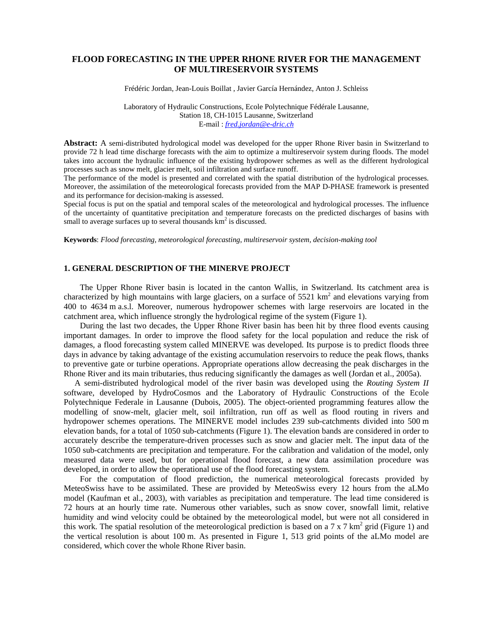# **FLOOD FORECASTING IN THE UPPER RHONE RIVER FOR THE MANAGEMENT OF MULTIRESERVOIR SYSTEMS**

Frédéric Jordan, Jean-Louis Boillat , Javier García Hernández, Anton J. Schleiss

Laboratory of Hydraulic Constructions, Ecole Polytechnique Fédérale Lausanne, Station 18, CH-1015 Lausanne, Switzerland E-mail : *fred.jordan@e-dric.ch*

**Abstract:** A semi-distributed hydrological model was developed for the upper Rhone River basin in Switzerland to provide 72 h lead time discharge forecasts with the aim to optimize a multireservoir system during floods. The model takes into account the hydraulic influence of the existing hydropower schemes as well as the different hydrological processes such as snow melt, glacier melt, soil infiltration and surface runoff.

The performance of the model is presented and correlated with the spatial distribution of the hydrological processes. Moreover, the assimilation of the meteorological forecasts provided from the MAP D-PHASE framework is presented and its performance for decision-making is assessed.

Special focus is put on the spatial and temporal scales of the meteorological and hydrological processes. The influence of the uncertainty of quantitative precipitation and temperature forecasts on the predicted discharges of basins with small to average surfaces up to several thousands  $km<sup>2</sup>$  is discussed.

**Keywords**: *Flood forecasting, meteorological forecasting, multireservoir system, decision-making tool* 

# **1. GENERAL DESCRIPTION OF THE MINERVE PROJECT**

The Upper Rhone River basin is located in the canton Wallis, in Switzerland. Its catchment area is characterized by high mountains with large glaciers, on a surface of  $5521 \text{ km}^2$  and elevations varying from 400 to 4634 m a.s.l. Moreover, numerous hydropower schemes with large reservoirs are located in the catchment area, which influence strongly the hydrological regime of the system (Figure 1).

During the last two decades, the Upper Rhone River basin has been hit by three flood events causing important damages. In order to improve the flood safety for the local population and reduce the risk of damages, a flood forecasting system called MINERVE was developed. Its purpose is to predict floods three days in advance by taking advantage of the existing accumulation reservoirs to reduce the peak flows, thanks to preventive gate or turbine operations. Appropriate operations allow decreasing the peak discharges in the Rhone River and its main tributaries, thus reducing significantly the damages as well (Jordan et al., 2005a).

A semi-distributed hydrological model of the river basin was developed using the *Routing System II* software, developed by HydroCosmos and the Laboratory of Hydraulic Constructions of the Ecole Polytechnique Federale in Lausanne (Dubois, 2005). The object-oriented programming features allow the modelling of snow-melt, glacier melt, soil infiltration, run off as well as flood routing in rivers and hydropower schemes operations. The MINERVE model includes 239 sub-catchments divided into 500 m elevation bands, for a total of 1050 sub-catchments (Figure 1). The elevation bands are considered in order to accurately describe the temperature-driven processes such as snow and glacier melt. The input data of the 1050 sub-catchments are precipitation and temperature. For the calibration and validation of the model, only measured data were used, but for operational flood forecast, a new data assimilation procedure was developed, in order to allow the operational use of the flood forecasting system.

For the computation of flood prediction, the numerical meteorological forecasts provided by MeteoSwiss have to be assimilated. These are provided by MeteoSwiss every 12 hours from the aLMo model (Kaufman et al., 2003), with variables as precipitation and temperature. The lead time considered is 72 hours at an hourly time rate. Numerous other variables, such as snow cover, snowfall limit, relative humidity and wind velocity could be obtained by the meteorological model, but were not all considered in this work. The spatial resolution of the meteorological prediction is based on a 7 x 7 km<sup>2</sup> grid (Figure 1) and the vertical resolution is about 100 m. As presented in Figure 1, 513 grid points of the aLMo model are considered, which cover the whole Rhone River basin.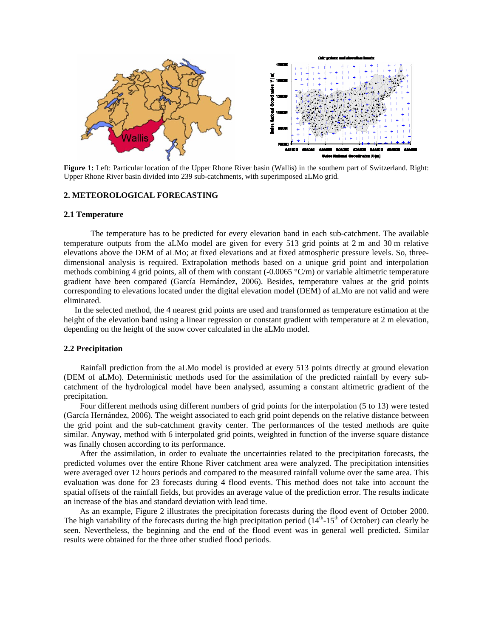

**Figure 1:** Left: Particular location of the Upper Rhone River basin (Wallis) in the southern part of Switzerland. Right: Upper Rhone River basin divided into 239 sub-catchments, with superimposed aLMo grid.

### **2. METEOROLOGICAL FORECASTING**

#### **2.1 Temperature**

The temperature has to be predicted for every elevation band in each sub-catchment. The available temperature outputs from the aLMo model are given for every 513 grid points at 2 m and 30 m relative elevations above the DEM of aLMo; at fixed elevations and at fixed atmospheric pressure levels. So, threedimensional analysis is required. Extrapolation methods based on a unique grid point and interpolation methods combining 4 grid points, all of them with constant  $(-0.0065 \degree C/m)$  or variable altimetric temperature gradient have been compared (García Hernández, 2006). Besides, temperature values at the grid points corresponding to elevations located under the digital elevation model (DEM) of aLMo are not valid and were eliminated.

In the selected method, the 4 nearest grid points are used and transformed as temperature estimation at the height of the elevation band using a linear regression or constant gradient with temperature at 2 m elevation, depending on the height of the snow cover calculated in the aLMo model.

#### **2.2 Precipitation**

Rainfall prediction from the aLMo model is provided at every 513 points directly at ground elevation (DEM of aLMo). Deterministic methods used for the assimilation of the predicted rainfall by every subcatchment of the hydrological model have been analysed, assuming a constant altimetric gradient of the precipitation.

Four different methods using different numbers of grid points for the interpolation (5 to 13) were tested (García Hernández, 2006). The weight associated to each grid point depends on the relative distance between the grid point and the sub-catchment gravity center. The performances of the tested methods are quite similar. Anyway, method with 6 interpolated grid points, weighted in function of the inverse square distance was finally chosen according to its performance.

After the assimilation, in order to evaluate the uncertainties related to the precipitation forecasts, the predicted volumes over the entire Rhone River catchment area were analyzed. The precipitation intensities were averaged over 12 hours periods and compared to the measured rainfall volume over the same area. This evaluation was done for 23 forecasts during 4 flood events. This method does not take into account the spatial offsets of the rainfall fields, but provides an average value of the prediction error. The results indicate an increase of the bias and standard deviation with lead time.

As an example, Figure 2 illustrates the precipitation forecasts during the flood event of October 2000. The high variability of the forecasts during the high precipitation period  $(14<sup>th</sup>-15<sup>th</sup>$  of October) can clearly be seen. Nevertheless, the beginning and the end of the flood event was in general well predicted. Similar results were obtained for the three other studied flood periods.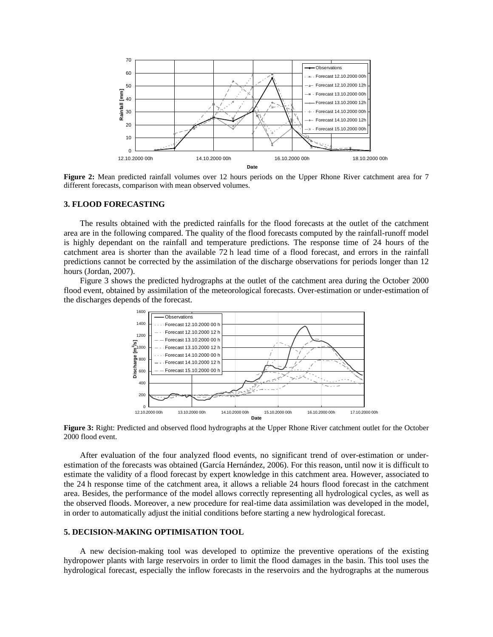

**Figure 2:** Mean predicted rainfall volumes over 12 hours periods on the Upper Rhone River catchment area for 7 different forecasts, comparison with mean observed volumes.

## **3. FLOOD FORECASTING**

The results obtained with the predicted rainfalls for the flood forecasts at the outlet of the catchment area are in the following compared. The quality of the flood forecasts computed by the rainfall-runoff model is highly dependant on the rainfall and temperature predictions. The response time of 24 hours of the catchment area is shorter than the available 72 h lead time of a flood forecast, and errors in the rainfall predictions cannot be corrected by the assimilation of the discharge observations for periods longer than 12 hours (Jordan, 2007).

Figure 3 shows the predicted hydrographs at the outlet of the catchment area during the October 2000 flood event, obtained by assimilation of the meteorological forecasts. Over-estimation or under-estimation of the discharges depends of the forecast.



**Figure 3:** Right: Predicted and observed flood hydrographs at the Upper Rhone River catchment outlet for the October 2000 flood event.

After evaluation of the four analyzed flood events, no significant trend of over-estimation or underestimation of the forecasts was obtained (García Hernández, 2006). For this reason, until now it is difficult to estimate the validity of a flood forecast by expert knowledge in this catchment area. However, associated to the 24 h response time of the catchment area, it allows a reliable 24 hours flood forecast in the catchment area. Besides, the performance of the model allows correctly representing all hydrological cycles, as well as the observed floods. Moreover, a new procedure for real-time data assimilation was developed in the model, in order to automatically adjust the initial conditions before starting a new hydrological forecast.

## **5. DECISION-MAKING OPTIMISATION TOOL**

A new decision-making tool was developed to optimize the preventive operations of the existing hydropower plants with large reservoirs in order to limit the flood damages in the basin. This tool uses the hydrological forecast, especially the inflow forecasts in the reservoirs and the hydrographs at the numerous